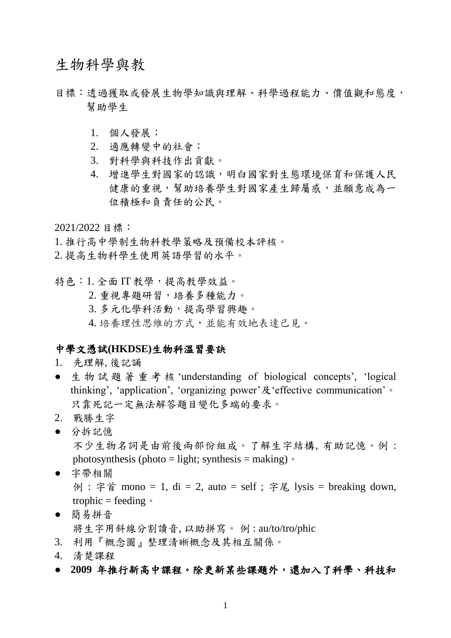生物科學與教

- 目標:透過獲取或發展生物學知識與理解、科學過程能力、價值觀和態度, 幫助學生
	- 1. 個人發展;
	- 2. 適應轉變中的社會;
	- 3. 對科學與科技作出貢獻。
	- 4. 增進學生對國家的認識,明白國家對生態環境保育和保護人民 健康的重視,幫助培養學生對國家產生歸屬感,並願意成為一 位積極和負責任的公民。

2021/2022 目標:

1. 推行高中學制生物科教學策略及預備校本評核。

2. 提高生物科學生使用英語學習的水平。

特色:1. 全面 IT 教學,提高教學效益。

2. 重視專題研習,培養多種能力。

- 3. 多元化學科活動,提高學習興趣。
- 4. 培養理性思維的方式,並能有效地表達己見。

#### 中學文憑試**(HKDSE)**生物科溫習要訣

- 1. 先理解, 後記誦
- 生物試題著重考核 'understanding of biological concepts', 'logical thinking', 'application', 'organizing power'及'effective communication'  $\circ$ 只靠死記一定無法解答題目變化多端的要求。
- 2. 戰勝生字
- 分拆記憶 不少生物名詞是由前後兩部份組成。了解生字結構, 有助記憶。例 : photosynthesis (photo = light; synthesis = making)  $\circ$
- 字帶相關 例 : 字首 mono = 1, di = 2, auto = self ; 字尾 lysis = breaking down, trophic = feeding  $\circ$
- 簡易拼音
	- 將生字用斜線分割讀音, 以助拼寫。 例 : au/to/tro/phic
- 3. 利用『概念圖』整理清晰概念及其相互關係。
- 4. 清楚課程
- **2009** 年推行新高中課程。除更新某些課題外,還加入了科學、科技和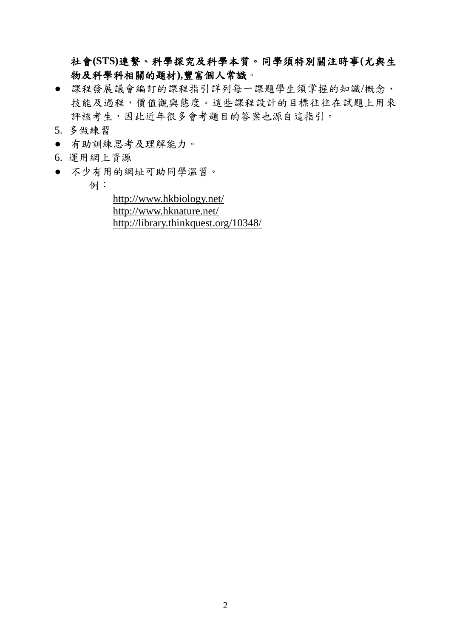## 社會**(STS)**連繫、科學探究及科學本質。同學須特別關注時事**(**尤與生 物及科學科相關的題材**),**豐富個人常識。

- 課程發展議會編訂的課程指引詳列每一課題學生須掌握的知識/概念、 技能及過程,價值觀與態度。這些課程設計的目標往往在試題上用來 評核考生,因此近年很多會考題目的答案也源自這指引。
- 5. 多做練習
- 有助訓練思考及理解能力。
- 6. 運用網上資源
- 不少有用的網址可助同學溫習。
	- 例:

<http://www.hkbiology.net/> <http://www.hknature.net/> <http://library.thinkquest.org/10348/>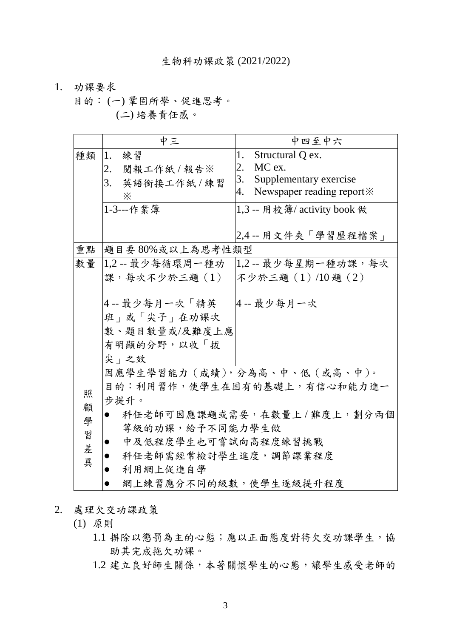- 1. 功課要求
	- 目的: (一) 鞏固所學、促進思考。 (二) 培養責任感。

|    | 中三                                                                     | 中四至中六                                  |  |  |  |
|----|------------------------------------------------------------------------|----------------------------------------|--|--|--|
| 種類 | 1.<br>練習                                                               | 1.<br>Structural Q ex.                 |  |  |  |
|    | 閱報工作紙/報告※<br>2.                                                        | MC ex.<br>2.                           |  |  |  |
|    | 3.<br>英語銜接工作紙/練習                                                       | Supplementary exercise<br>3.           |  |  |  |
|    | ፠                                                                      | Newspaper reading report *<br>4.       |  |  |  |
|    | 1-3 --- 作業簿                                                            | 1,3 -- 用校簿/ activity book 做            |  |  |  |
|    |                                                                        | 2,4 -- 用文件夾「學習歷程檔案」                    |  |  |  |
| 重點 | 題目要80%或以上為思考性類型                                                        |                                        |  |  |  |
| 數量 |                                                                        | 1,2 -- 最少每循環周一種功   1,2 -- 最少每星期一種功課,每次 |  |  |  |
|    | 課,每次不少於三題(1)  不少於三題(1)/10 題(2)                                         |                                        |  |  |  |
|    | 4 -- 最少每月一次「精英」<br>班」或「尖子」在功課次<br>數、題目數量或/及難度上應<br>有明顯的分野,以收「拔<br>尖 之效 | 4-- 最少每月一次                             |  |  |  |
|    |                                                                        | 因應學生學習能力 (成績), 分為高、中、低 (或高、中)。         |  |  |  |
|    | 目的:利用習作,使學生在固有的基礎上,有信心和能力進一                                            |                                        |  |  |  |
| 照  | 步提升。                                                                   |                                        |  |  |  |
| 顧  | $\bullet$                                                              | 科任老師可因應課題或需要,在數量上/難度上,劃分兩個             |  |  |  |
| 學  | <b>等級的功課,給予不同能力學生做</b>                                                 |                                        |  |  |  |
| 習  | 中及低程度學生也可嘗試向高程度練習挑戰                                                    |                                        |  |  |  |
| 差  | 科任老師需經常檢討學生進度,調節課業程度                                                   |                                        |  |  |  |
| 異  | 利用網上促進自學                                                               |                                        |  |  |  |
|    | 網上練習應分不同的級數,使學生逐級提升程度                                                  |                                        |  |  |  |

- 2. 處理欠交功課政策
	- (1) 原則
		- 1.1 摒除以懲罰為主的心態;應以正面態度對待欠交功課學生,協 助其完成拖欠功課。
		- 1.2 建立良好師生關係,本著關懷學生的心態,讓學生感受老師的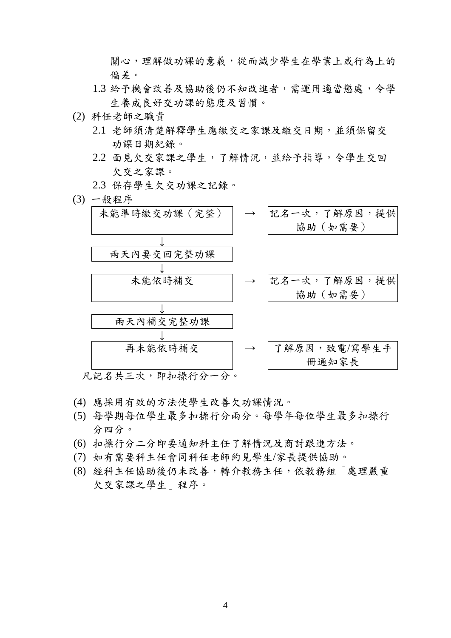關心,理解做功課的意義,從而減少學生在學業上或行為上的 偏差。

- 1.3 給予機會改善及協助後仍不知改進者,需運用適當懲處,令學 生養成良好交功課的態度及習慣。
- (2) 科任老師之職責
	- 2.1 老師須清楚解釋學生應繳交之家課及繳交日期,並須保留交 功課日期紀錄。
	- 2.2 面見欠交家課之學生,了解情況,並給予指導,令學生交回 欠交之家課。
	- 2.3 保存學生欠交功課之記錄。
- (3) 一般程序



- (4) 應採用有效的方法使學生改善欠功課情況。
- (5) 每學期每位學生最多扣操行分兩分。每學年每位學生最多扣操行 分四分。
- (6) 扣操行分二分即要通知科主任了解情況及商討跟進方法。
- (7) 如有需要科主任會同科任老師約見學生/家長提供協助。
- (8) 經科主任協助後仍未改善,轉介教務主任,依教務組「處理嚴重 欠交家課之學生」程序。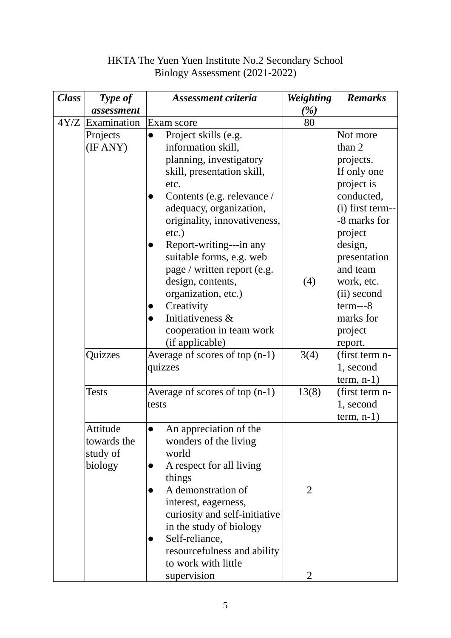## HKTA The Yuen Yuen Institute No.2 Secondary School Biology Assessment (2021-2022)

| <b>Class</b> | Type of                                        | Assessment criteria                                                                                                                                                                                                                                                                                 | <b>Weighting</b> | <b>Remarks</b>                                                                                                                                                   |
|--------------|------------------------------------------------|-----------------------------------------------------------------------------------------------------------------------------------------------------------------------------------------------------------------------------------------------------------------------------------------------------|------------------|------------------------------------------------------------------------------------------------------------------------------------------------------------------|
|              | assessment                                     |                                                                                                                                                                                                                                                                                                     | $(\%)$           |                                                                                                                                                                  |
|              | $4Y/Z$ Examination                             | Exam score                                                                                                                                                                                                                                                                                          | 80               |                                                                                                                                                                  |
|              | Projects<br>(IF ANY)                           | Project skills (e.g.<br>information skill,<br>planning, investigatory<br>skill, presentation skill,<br>etc.<br>Contents (e.g. relevance /<br>adequacy, organization,<br>originality, innovativeness,<br>etc.)<br>Report-writing---in any<br>suitable forms, e.g. web<br>page / written report (e.g. |                  | Not more<br>than 2<br>projects.<br>If only one<br>project is<br>conducted,<br>(i) first term--<br>-8 marks for<br>project<br>design,<br>presentation<br>and team |
|              | Quizzes                                        | design, contents,<br>organization, etc.)<br>Creativity<br>Initiativeness &<br>cooperation in team work<br>(if applicable)<br>Average of scores of top (n-1)<br>quizzes                                                                                                                              | (4)<br>3(4)      | work, etc.<br>(ii) second<br>$term--8$<br>marks for<br>project<br>report.<br>(first term n-<br>1, second                                                         |
|              | <b>Tests</b>                                   | Average of scores of top $(n-1)$<br>tests                                                                                                                                                                                                                                                           | 13(8)            | $term, n-1)$<br>(first term n-<br>1, second<br>$term, n-1)$                                                                                                      |
|              | Attitude<br>towards the<br>study of<br>biology | An appreciation of the<br>wonders of the living<br>world<br>A respect for all living<br>things<br>A demonstration of<br>interest, eagerness,<br>curiosity and self-initiative<br>in the study of biology<br>Self-reliance,<br>resourcefulness and ability<br>to work with little                    | $\overline{2}$   |                                                                                                                                                                  |
|              |                                                | supervision                                                                                                                                                                                                                                                                                         | $\overline{2}$   |                                                                                                                                                                  |